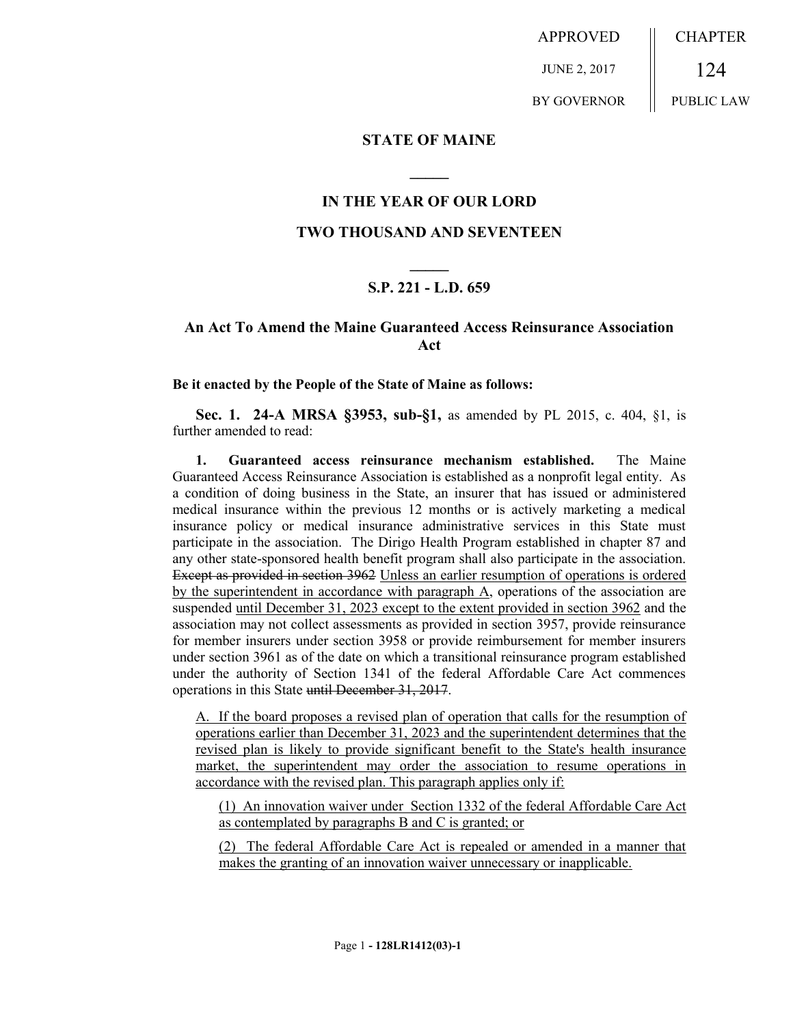APPROVED JUNE 2, 2017 BY GOVERNOR **CHAPTER** 124 PUBLIC LAW

### **STATE OF MAINE**

### **IN THE YEAR OF OUR LORD**

**\_\_\_\_\_**

### **TWO THOUSAND AND SEVENTEEN**

# **\_\_\_\_\_ S.P. 221 - L.D. 659**

## **An Act To Amend the Maine Guaranteed Access Reinsurance Association Act**

#### **Be it enacted by the People of the State of Maine as follows:**

**Sec. 1. 24-A MRSA §3953, sub-§1,** as amended by PL 2015, c. 404, §1, is further amended to read:

**1. Guaranteed access reinsurance mechanism established.** The Maine Guaranteed Access Reinsurance Association is established as a nonprofit legal entity. As a condition of doing business in the State, an insurer that has issued or administered medical insurance within the previous 12 months or is actively marketing a medical insurance policy or medical insurance administrative services in this State must participate in the association. The Dirigo Health Program established in chapter 87 and any other state-sponsored health benefit program shall also participate in the association. Except as provided in section 3962 Unless an earlier resumption of operations is ordered by the superintendent in accordance with paragraph A, operations of the association are suspended until December 31, 2023 except to the extent provided in section 3962 and the association may not collect assessments as provided in section 3957, provide reinsurance for member insurers under section 3958 or provide reimbursement for member insurers under section 3961 as of the date on which a transitional reinsurance program established under the authority of Section 1341 of the federal Affordable Care Act commences operations in this State until December 31, 2017.

A. If the board proposes a revised plan of operation that calls for the resumption of operations earlier than December 31, 2023 and the superintendent determines that the revised plan is likely to provide significant benefit to the State's health insurance market, the superintendent may order the association to resume operations in accordance with the revised plan. This paragraph applies only if:

(1) An innovation waiver under Section 1332 of the federal Affordable Care Act as contemplated by paragraphs B and C is granted; or

(2) The federal Affordable Care Act is repealed or amended in a manner that makes the granting of an innovation waiver unnecessary or inapplicable.